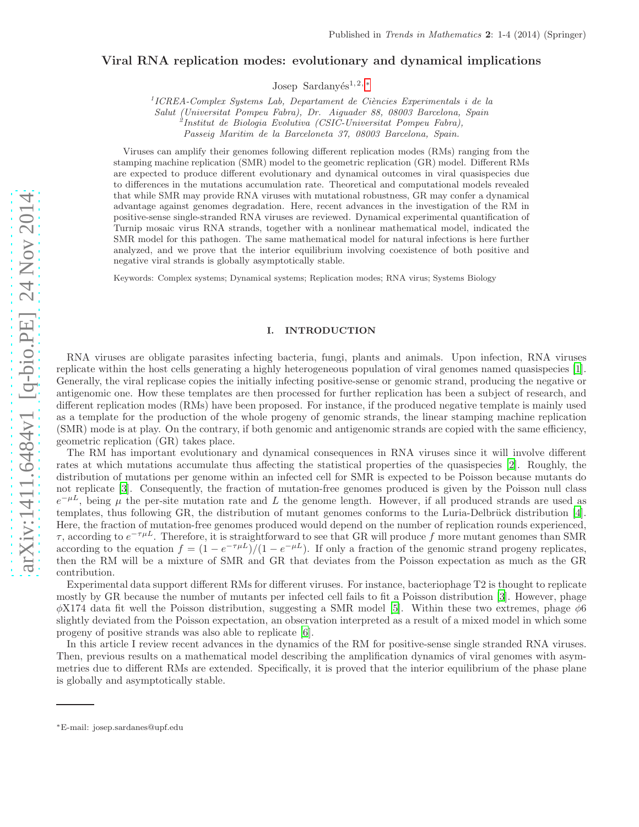# Viral RNA replication modes: evolutionary and dynamical implications

Josep Sardanyés<sup>1, 2, [∗](#page-0-0)</sup>

<sup>1</sup> ICREA-Complex Systems Lab, Departament de Ciències Experimentals i de la

*Salut (Universitat Pompeu Fabra), Dr. Aiguader 88, 08003 Barcelona, Spain*

2 *Institut de Biologia Evolutiva (CSIC-Universitat Pompeu Fabra),*

*Passeig Maritim de la Barceloneta 37, 08003 Barcelona, Spain.*

Viruses can amplify their genomes following different replication modes (RMs) ranging from the stamping machine replication (SMR) model to the geometric replication (GR) model. Different RMs are expected to produce different evolutionary and dynamical outcomes in viral quasispecies due to differences in the mutations accumulation rate. Theoretical and computational models revealed that while SMR may provide RNA viruses with mutational robustness, GR may confer a dynamical advantage against genomes degradation. Here, recent advances in the investigation of the RM in positive-sense single-stranded RNA viruses are reviewed. Dynamical experimental quantification of Turnip mosaic virus RNA strands, together with a nonlinear mathematical model, indicated the SMR model for this pathogen. The same mathematical model for natural infections is here further analyzed, and we prove that the interior equilibrium involving coexistence of both positive and negative viral strands is globally asymptotically stable.

Keywords: Complex systems; Dynamical systems; Replication modes; RNA virus; Systems Biology

## I. INTRODUCTION

RNA viruses are obligate parasites infecting bacteria, fungi, plants and animals. Upon infection, RNA viruses replicate within the host cells generating a highly heterogeneous population of viral genomes named quasispecies [\[1\]](#page-2-0). Generally, the viral replicase copies the initially infecting positive-sense or genomic strand, producing the negative or antigenomic one. How these templates are then processed for further replication has been a subject of research, and different replication modes (RMs) have been proposed. For instance, if the produced negative template is mainly used as a template for the production of the whole progeny of genomic strands, the linear stamping machine replication (SMR) mode is at play. On the contrary, if both genomic and antigenomic strands are copied with the same efficiency, geometric replication (GR) takes place.

The RM has important evolutionary and dynamical consequences in RNA viruses since it will involve different rates at which mutations accumulate thus affecting the statistical properties of the quasispecies [\[2\]](#page-2-1). Roughly, the distribution of mutations per genome within an infected cell for SMR is expected to be Poisson because mutants do not replicate [\[3\]](#page-2-2). Consequently, the fraction of mutation-free genomes produced is given by the Poisson null class  $e^{-\mu L}$ , being  $\mu$  the per-site mutation rate and L the genome length. However, if all produced strands are used as templates, thus following GR, the distribution of mutant genomes conforms to the Luria-Delbrück distribution [\[4\]](#page-2-3). Here, the fraction of mutation-free genomes produced would depend on the number of replication rounds experienced,  $\tau$ , according to  $e^{-\tau\mu L}$ . Therefore, it is straightforward to see that GR will produce f more mutant genomes than SMR according to the equation  $f = (1 - e^{-\tau \mu L})/(1 - e^{-\mu L})$ . If only a fraction of the genomic strand progeny replicates, then the RM will be a mixture of SMR and GR that deviates from the Poisson expectation as much as the GR contribution.

Experimental data support different RMs for different viruses. For instance, bacteriophage T2 is thought to replicate mostly by GR because the number of mutants per infected cell fails to fit a Poisson distribution [\[3\]](#page-2-2). However, phage  $\phi$ X174 data fit well the Poisson distribution, suggesting a SMR model [\[5\]](#page-2-4). Within these two extremes, phage  $\phi$ 6 slightly deviated from the Poisson expectation, an observation interpreted as a result of a mixed model in which some progeny of positive strands was also able to replicate [\[6](#page-2-5)].

In this article I review recent advances in the dynamics of the RM for positive-sense single stranded RNA viruses. Then, previous results on a mathematical model describing the amplification dynamics of viral genomes with asymmetries due to different RMs are extended. Specifically, it is proved that the interior equilibrium of the phase plane is globally and asymptotically stable.

<span id="page-0-0"></span><sup>∗</sup>E-mail: josep.sardanes@upf.edu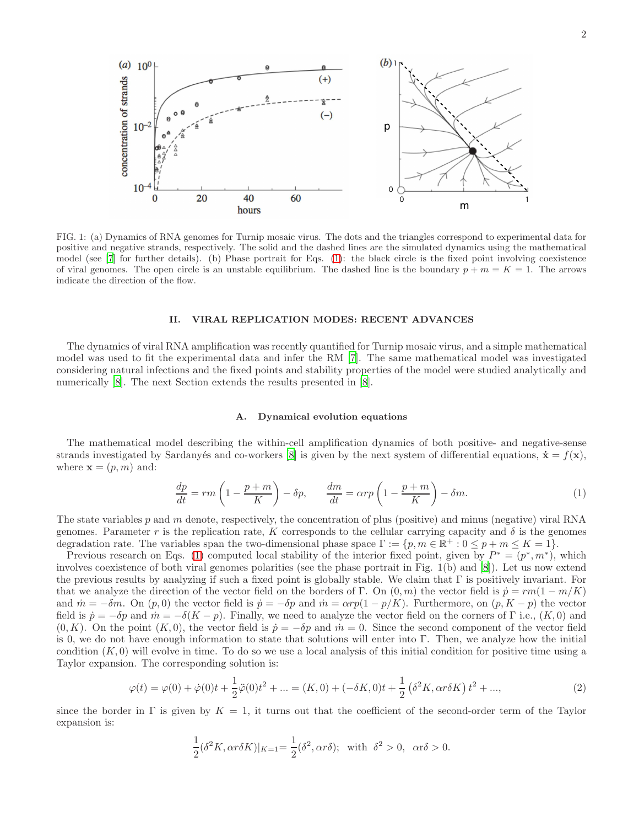

FIG. 1: (a) Dynamics of RNA genomes for Turnip mosaic virus. The dots and the triangles correspond to experimental data for positive and negative strands, respectively. The solid and the dashed lines are the simulated dynamics using the mathematical model (see [\[7](#page-2-6)] for further details). (b) Phase portrait for Eqs. [\(1\)](#page-1-0): the black circle is the fixed point involving coexistence of viral genomes. The open circle is an unstable equilibrium. The dashed line is the boundary  $p + m = K = 1$ . The arrows indicate the direction of the flow.

## II. VIRAL REPLICATION MODES: RECENT ADVANCES

The dynamics of viral RNA amplification was recently quantified for Turnip mosaic virus, and a simple mathematical model was used to fit the experimental data and infer the RM [\[7\]](#page-2-6). The same mathematical model was investigated considering natural infections and the fixed points and stability properties of the model were studied analytically and numerically [\[8\]](#page-3-0). The next Section extends the results presented in [\[8](#page-3-0)].

# A. Dynamical evolution equations

The mathematical model describing the within-cell amplification dynamics of both positive- and negative-sense strands investigated by Sardany's and co-workers [\[8\]](#page-3-0) is given by the next system of differential equations,  $\dot{\mathbf{x}} = f(\mathbf{x})$ . where  $\mathbf{x} = (p, m)$  and:

<span id="page-1-0"></span>
$$
\frac{dp}{dt} = rm\left(1 - \frac{p+m}{K}\right) - \delta p, \qquad \frac{dm}{dt} = \alpha rp\left(1 - \frac{p+m}{K}\right) - \delta m. \tag{1}
$$

The state variables p and m denote, respectively, the concentration of plus (positive) and minus (negative) viral RNA genomes. Parameter r is the replication rate, K corresponds to the cellular carrying capacity and  $\delta$  is the genomes degradation rate. The variables span the two-dimensional phase space  $\Gamma := \{p, m \in \mathbb{R}^+ : 0 \leq p + m \leq K = 1\}.$ 

Previous research on Eqs. [\(1\)](#page-1-0) computed local stability of the interior fixed point, given by  $P^* = (p^*, m^*)$ , which involves coexistence of both viral genomes polarities (see the phase portrait in Fig. 1(b) and [\[8\]](#page-3-0)). Let us now extend the previous results by analyzing if such a fixed point is globally stable. We claim that  $\Gamma$  is positively invariant. For that we analyze the direction of the vector field on the borders of Γ. On  $(0, m)$  the vector field is  $\dot{p} = rm(1 - m/K)$ and  $\dot{m} = -\delta m$ . On  $(p, 0)$  the vector field is  $\dot{p} = -\delta p$  and  $\dot{m} = \alpha rp(1 - p/K)$ . Furthermore, on  $(p, K - p)$  the vector field is  $\dot{p} = -\delta p$  and  $\dot{m} = -\delta(K - p)$ . Finally, we need to analyze the vector field on the corners of Γ i.e.,  $(K, 0)$  and  $(0, K)$ . On the point  $(K, 0)$ , the vector field is  $\dot{p} = -\delta p$  and  $\dot{m} = 0$ . Since the second component of the vector field is 0, we do not have enough information to state that solutions will enter into Γ. Then, we analyze how the initial condition  $(K, 0)$  will evolve in time. To do so we use a local analysis of this initial condition for positive time using a Taylor expansion. The corresponding solution is:

$$
\varphi(t) = \varphi(0) + \dot{\varphi}(0)t + \frac{1}{2}\ddot{\varphi}(0)t^2 + \dots = (K, 0) + (-\delta K, 0)t + \frac{1}{2}(\delta^2 K, \alpha r \delta K)t^2 + \dots,
$$
\n(2)

since the border in Γ is given by  $K = 1$ , it turns out that the coefficient of the second-order term of the Taylor expansion is:

$$
\frac{1}{2}(\delta^2 K, \alpha r \delta K)|_{K=1} = \frac{1}{2}(\delta^2, \alpha r \delta); \text{ with } \delta^2 > 0, \text{ } \alpha r \delta > 0.
$$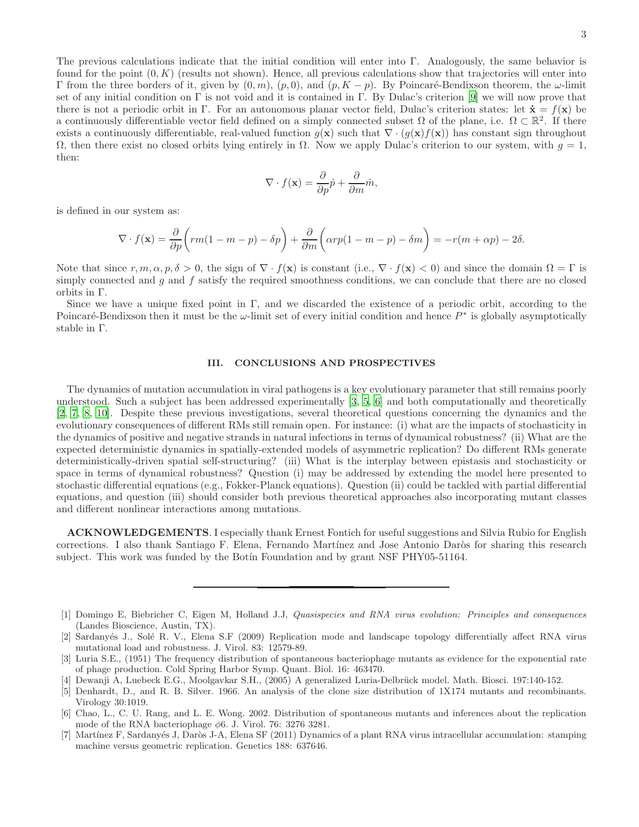$$
\nabla \cdot f(\mathbf{x}) = \frac{\partial}{\partial p} \dot{p} + \frac{\partial}{\partial m} \dot{m},
$$

is defined in our system as:

$$
\nabla \cdot f(\mathbf{x}) = \frac{\partial}{\partial p} \left( rm(1 - m - p) - \delta p \right) + \frac{\partial}{\partial m} \left( \alpha rp(1 - m - p) - \delta m \right) = -r(m + \alpha p) - 2\delta.
$$

Note that since  $r, m, \alpha, p, \delta > 0$ , the sign of  $\nabla \cdot f(\mathbf{x})$  is constant (i.e.,  $\nabla \cdot f(\mathbf{x}) < 0$ ) and since the domain  $\Omega = \Gamma$  is simply connected and  $g$  and  $f$  satisfy the required smoothness conditions, we can conclude that there are no closed orbits in Γ.

Since we have a unique fixed point in Γ, and we discarded the existence of a periodic orbit, according to the Poincaré-Bendixson then it must be the  $\omega$ -limit set of every initial condition and hence  $P^*$  is globally asymptotically stable in Γ.

## III. CONCLUSIONS AND PROSPECTIVES

The dynamics of mutation accumulation in viral pathogens is a key evolutionary parameter that still remains poorly understood. Such a subject has been addressed experimentally [\[3,](#page-2-2) [5](#page-2-4), [6\]](#page-2-5) and both computationally and theoretically [\[2,](#page-2-1) [7,](#page-2-6) [8,](#page-3-0) [10\]](#page-3-2). Despite these previous investigations, several theoretical questions concerning the dynamics and the evolutionary consequences of different RMs still remain open. For instance: (i) what are the impacts of stochasticity in the dynamics of positive and negative strands in natural infections in terms of dynamical robustness? (ii) What are the expected deterministic dynamics in spatially-extended models of asymmetric replication? Do different RMs generate deterministically-driven spatial self-structuring? (iii) What is the interplay between epistasis and stochasticity or space in terms of dynamical robustness? Question (i) may be addressed by extending the model here presented to stochastic differential equations (e.g., Fokker-Planck equations). Question (ii) could be tackled with partial differential equations, and question (iii) should consider both previous theoretical approaches also incorporating mutant classes and different nonlinear interactions among mutations.

ACKNOWLEDGEMENTS. I especially thank Ernest Fontich for useful suggestions and Silvia Rubio for English corrections. I also thank Santiago F. Elena, Fernando Martínez and Jose Antonio Daròs for sharing this research subject. This work was funded by the Botin Foundation and by grant NSF PHY05-51164.

<span id="page-2-0"></span>[1] Domingo E, Biebricher C, Eigen M, Holland J.J, *Quasispecies and RNA virus evolution: Principles and consequences* (Landes Bioscience, Austin, TX).

<span id="page-2-1"></span><sup>[2]</sup> Sardanyés J., Solé R. V., Elena S.F (2009) Replication mode and landscape topology differentially affect RNA virus mutational load and robustness. J. Virol. 83: 12579-89.

<span id="page-2-2"></span><sup>[3]</sup> Luria S.E., (1951) The frequency distribution of spontaneous bacteriophage mutants as evidence for the exponential rate of phage production. Cold Spring Harbor Symp. Quant. Biol. 16: 463470.

<span id="page-2-3"></span><sup>[4]</sup> Dewanji A, Luebeck E.G., Moolgavkar S.H., (2005) A generalized Luria-Delbr¨uck model. Math. Biosci. 197:140-152.

<span id="page-2-4"></span><sup>[5]</sup> Denhardt, D., and R. B. Silver. 1966. An analysis of the clone size distribution of 1X174 mutants and recombinants. Virology 30:1019.

<span id="page-2-5"></span><sup>[6]</sup> Chao, L., C. U. Rang, and L. E. Wong. 2002. Distribution of spontaneous mutants and inferences about the replication mode of the RNA bacteriophage  $\phi$ 6. J. Virol. 76: 3276 3281.

<span id="page-2-6"></span><sup>[7]</sup> Martínez F, Sardanyés J, Daròs J-A, Elena SF (2011) Dynamics of a plant RNA virus intracellular accumulation: stamping machine versus geometric replication. Genetics 188: 637646.